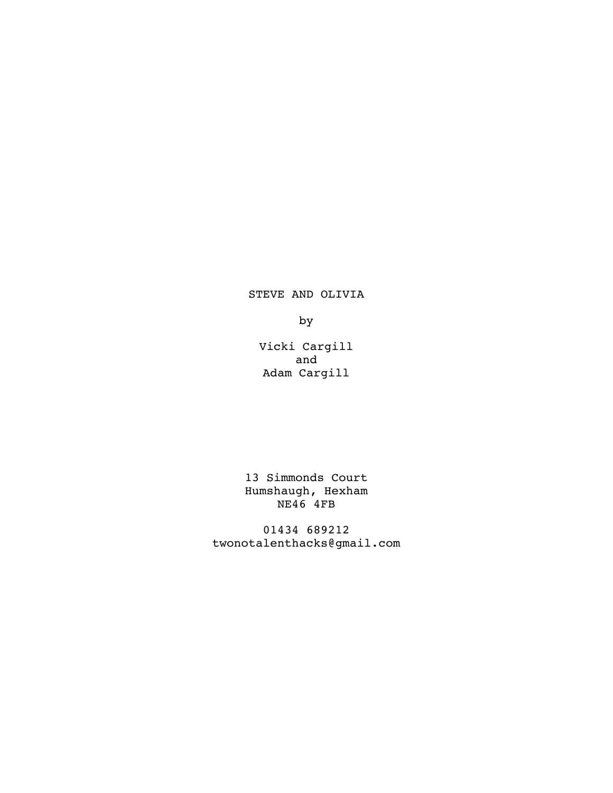STEVE AND OLIVIA

by

Vicki Cargill and Adam Cargill

13 Simmonds Court Humshaugh, Hexham NE46 4FB

01434 689212 twonotalenthacks@gmail.com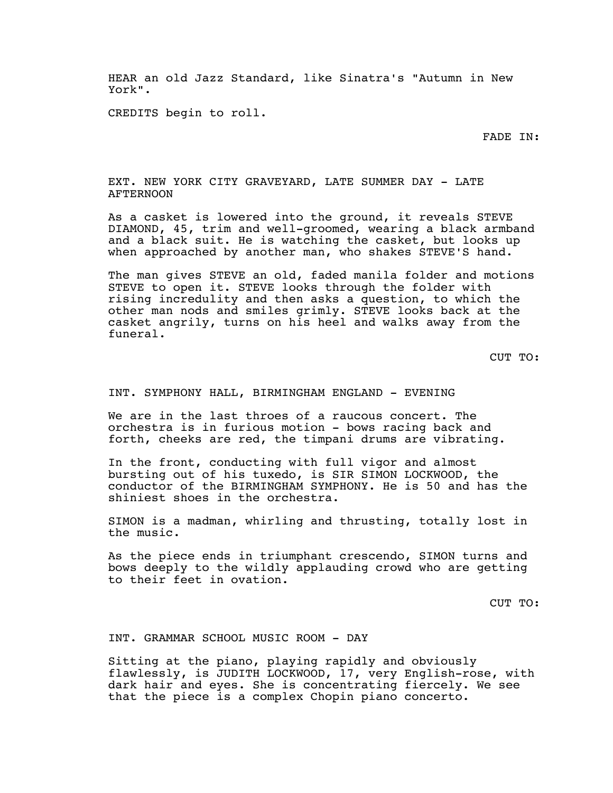HEAR an old Jazz Standard, like Sinatra's "Autumn in New York".

CREDITS begin to roll.

FADE IN:

EXT. NEW YORK CITY GRAVEYARD, LATE SUMMER DAY - LATE AFTERNOON

As a casket is lowered into the ground, it reveals STEVE DIAMOND, 45, trim and well-groomed, wearing a black armband and a black suit. He is watching the casket, but looks up when approached by another man, who shakes STEVE'S hand.

The man gives STEVE an old, faded manila folder and motions STEVE to open it. STEVE looks through the folder with rising incredulity and then asks a question, to which the other man nods and smiles grimly. STEVE looks back at the casket angrily, turns on his heel and walks away from the funeral.

CUT TO:

INT. SYMPHONY HALL, BIRMINGHAM ENGLAND - EVENING

We are in the last throes of a raucous concert. The orchestra is in furious motion - bows racing back and forth, cheeks are red, the timpani drums are vibrating.

In the front, conducting with full vigor and almost bursting out of his tuxedo, is SIR SIMON LOCKWOOD, the conductor of the BIRMINGHAM SYMPHONY. He is 50 and has the shiniest shoes in the orchestra.

SIMON is a madman, whirling and thrusting, totally lost in the music.

As the piece ends in triumphant crescendo, SIMON turns and bows deeply to the wildly applauding crowd who are getting to their feet in ovation.

CUT TO:

INT. GRAMMAR SCHOOL MUSIC ROOM - DAY

Sitting at the piano, playing rapidly and obviously flawlessly, is JUDITH LOCKWOOD, 17, very English-rose, with dark hair and eyes. She is concentrating fiercely. We see that the piece is a complex Chopin piano concerto.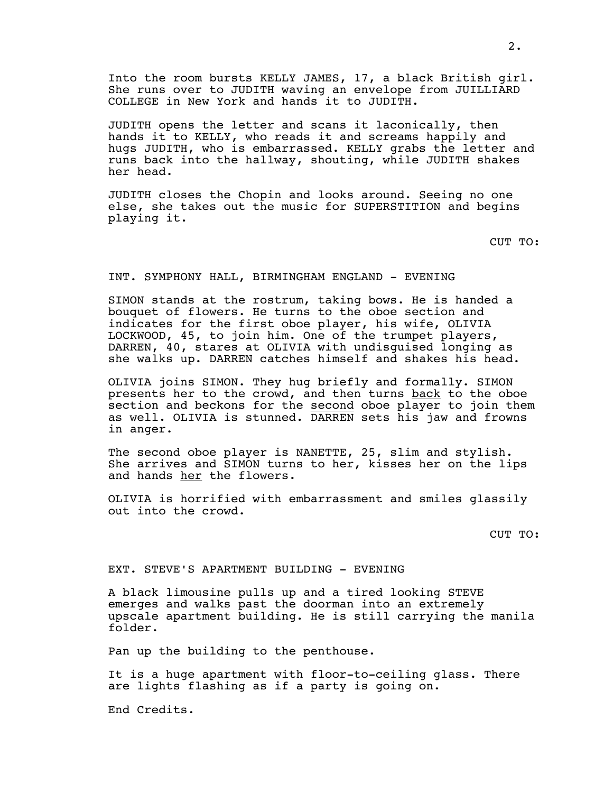Into the room bursts KELLY JAMES, 17, a black British girl. She runs over to JUDITH waving an envelope from JUILLIARD COLLEGE in New York and hands it to JUDITH.

JUDITH opens the letter and scans it laconically, then hands it to KELLY, who reads it and screams happily and hugs JUDITH, who is embarrassed. KELLY grabs the letter and runs back into the hallway, shouting, while JUDITH shakes her head.

JUDITH closes the Chopin and looks around. Seeing no one else, she takes out the music for SUPERSTITION and begins playing it.

CUT TO:

### INT. SYMPHONY HALL, BIRMINGHAM ENGLAND - EVENING

SIMON stands at the rostrum, taking bows. He is handed a bouquet of flowers. He turns to the oboe section and indicates for the first oboe player, his wife, OLIVIA LOCKWOOD, 45, to join him. One of the trumpet players, DARREN, 40, stares at OLIVIA with undisguised longing as she walks up. DARREN catches himself and shakes his head.

OLIVIA joins SIMON. They hug briefly and formally. SIMON presents her to the crowd, and then turns back to the oboe section and beckons for the second oboe player to join them as well. OLIVIA is stunned. DARREN sets his jaw and frowns in anger.

The second oboe player is NANETTE, 25, slim and stylish. She arrives and SIMON turns to her, kisses her on the lips and hands her the flowers.

OLIVIA is horrified with embarrassment and smiles glassily out into the crowd.

CUT TO:

# EXT. STEVE'S APARTMENT BUILDING - EVENING

A black limousine pulls up and a tired looking STEVE emerges and walks past the doorman into an extremely upscale apartment building. He is still carrying the manila folder.

Pan up the building to the penthouse.

It is a huge apartment with floor-to-ceiling glass. There are lights flashing as if a party is going on.

End Credits.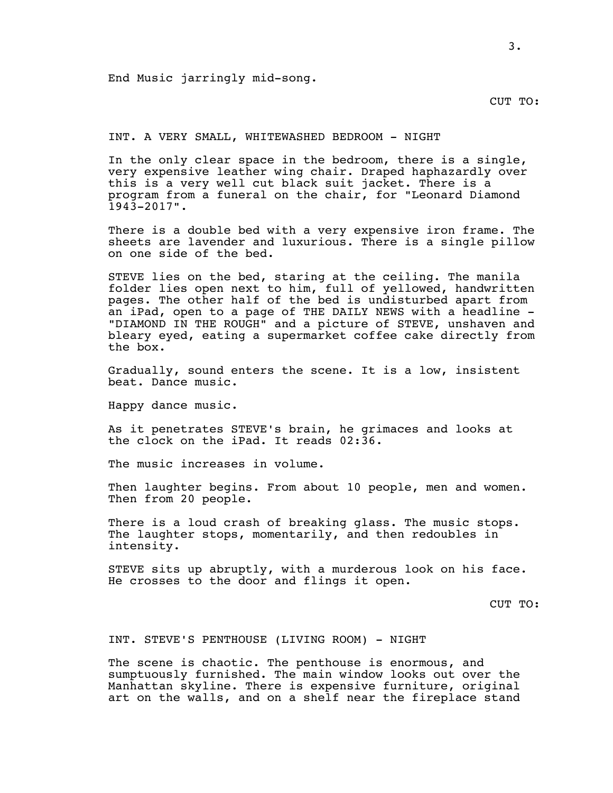End Music jarringly mid-song.

CUT TO:

INT. A VERY SMALL, WHITEWASHED BEDROOM - NIGHT

In the only clear space in the bedroom, there is a single, very expensive leather wing chair. Draped haphazardly over this is a very well cut black suit jacket. There is a program from a funeral on the chair, for "Leonard Diamond 1943-2017".

There is a double bed with a very expensive iron frame. The sheets are lavender and luxurious. There is a single pillow on one side of the bed.

STEVE lies on the bed, staring at the ceiling. The manila folder lies open next to him, full of yellowed, handwritten pages. The other half of the bed is undisturbed apart from an iPad, open to a page of THE DAILY NEWS with a headline - "DIAMOND IN THE ROUGH" and a picture of STEVE, unshaven and bleary eyed, eating a supermarket coffee cake directly from the box.

Gradually, sound enters the scene. It is a low, insistent beat. Dance music.

Happy dance music.

As it penetrates STEVE's brain, he grimaces and looks at the clock on the iPad. It reads 02:36.

The music increases in volume.

Then laughter begins. From about 10 people, men and women. Then from 20 people.

There is a loud crash of breaking glass. The music stops. The laughter stops, momentarily, and then redoubles in intensity.

STEVE sits up abruptly, with a murderous look on his face. He crosses to the door and flings it open.

CUT TO:

INT. STEVE'S PENTHOUSE (LIVING ROOM) - NIGHT

The scene is chaotic. The penthouse is enormous, and sumptuously furnished. The main window looks out over the Manhattan skyline. There is expensive furniture, original art on the walls, and on a shelf near the fireplace stand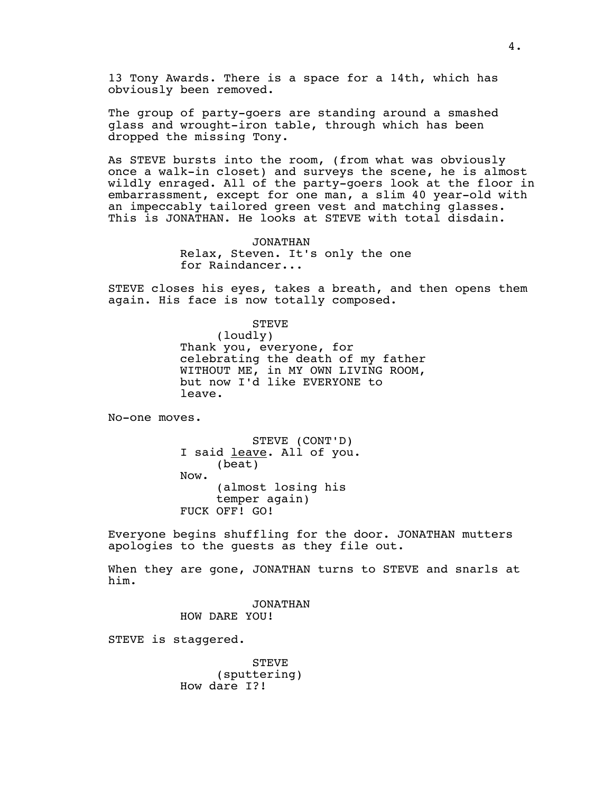13 Tony Awards. There is a space for a 14th, which has obviously been removed.

The group of party-goers are standing around a smashed glass and wrought-iron table, through which has been dropped the missing Tony.

As STEVE bursts into the room, (from what was obviously once a walk-in closet) and surveys the scene, he is almost wildly enraged. All of the party-goers look at the floor in embarrassment, except for one man, a slim 40 year-old with an impeccably tailored green vest and matching glasses. This is JONATHAN. He looks at STEVE with total disdain.

> JONATHAN Relax, Steven. It's only the one for Raindancer...

STEVE closes his eyes, takes a breath, and then opens them again. His face is now totally composed.

> STEVE (loudly) Thank you, everyone, for celebrating the death of my father WITHOUT ME, in MY OWN LIVING ROOM, but now I'd like EVERYONE to leave.

No-one moves.

STEVE (CONT'D) I said leave. All of you. (beat) Now. (almost losing his temper again) FUCK OFF! GO!

Everyone begins shuffling for the door. JONATHAN mutters apologies to the guests as they file out.

When they are gone, JONATHAN turns to STEVE and snarls at him.

> JONATHAN HOW DARE YOU!

STEVE is staggered.

STEVE (sputtering) How dare I?!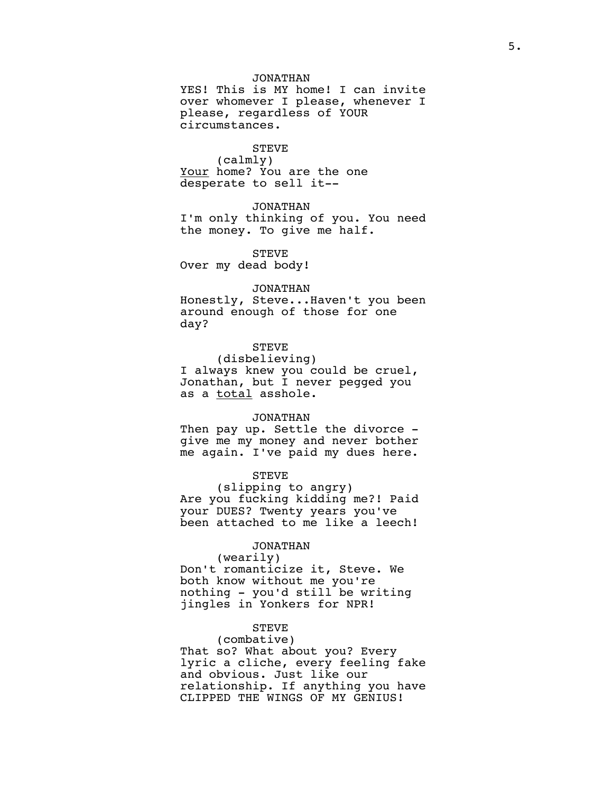## JONATHAN

YES! This is MY home! I can invite over whomever I please, whenever I please, regardless of YOUR circumstances.

# STEVE

(calmly) Your home? You are the one desperate to sell it--

## JONATHAN

I'm only thinking of you. You need the money. To give me half.

STEVE Over my dead body!

### JONATHAN

Honestly, Steve...Haven't you been around enough of those for one day?

# STEVE

(disbelieving) I always knew you could be cruel, Jonathan, but I never pegged you as a total asshole.

## JONATHAN

Then pay up. Settle the divorce give me my money and never bother me again. I've paid my dues here.

### STEVE

(slipping to angry) Are you fucking kidding me?! Paid your DUES? Twenty years you've been attached to me like a leech!

# JONATHAN

(wearily) Don't romanticize it, Steve. We both know without me you're nothing - you'd still be writing jingles in Yonkers for NPR!

### STEVE

## (combative)

That so? What about you? Every lyric a cliche, every feeling fake and obvious. Just like our relationship. If anything you have CLIPPED THE WINGS OF MY GENIUS!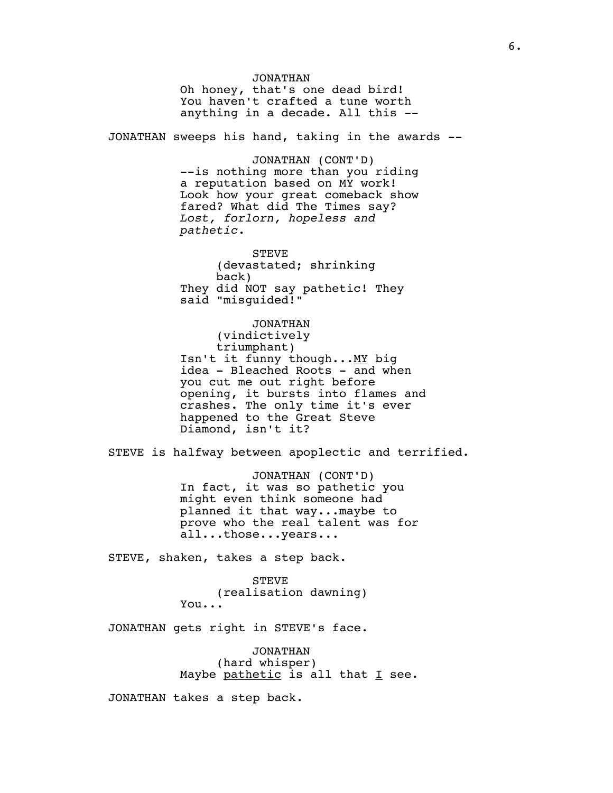JONATHAN Oh honey, that's one dead bird! You haven't crafted a tune worth anything in a decade. All this -- JONATHAN sweeps his hand, taking in the awards -- JONATHAN (CONT'D) --is nothing more than you riding a reputation based on MY work! Look how your great comeback show fared? What did The Times say? *Lost, forlorn, hopeless and pathetic*. STEVE (devastated; shrinking back) They did NOT say pathetic! They said "misguided!" JONATHAN (vindictively triumphant) Isn't it funny though... MY big idea - Bleached Roots - and when you cut me out right before opening, it bursts into flames and crashes. The only time it's ever happened to the Great Steve Diamond, isn't it? STEVE is halfway between apoplectic and terrified. JONATHAN (CONT'D) In fact, it was so pathetic you might even think someone had planned it that way...maybe to prove who the real talent was for all...those...years... STEVE, shaken, takes a step back. STEVE (realisation dawning) You... JONATHAN gets right in STEVE's face. JONATHAN

(hard whisper) Maybe pathetic is all that I see.

JONATHAN takes a step back.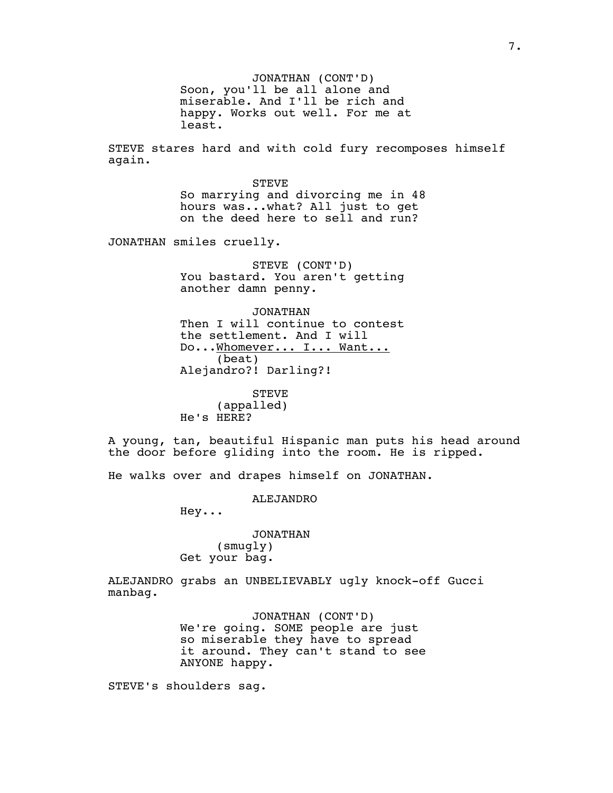JONATHAN (CONT'D) Soon, you'll be all alone and miserable. And I'll be rich and happy. Works out well. For me at least.

STEVE stares hard and with cold fury recomposes himself again.

> STEVE So marrying and divorcing me in 48 hours was...what? All just to get on the deed here to sell and run?

JONATHAN smiles cruelly.

STEVE (CONT'D) You bastard. You aren't getting another damn penny.

JONATHAN Then I will continue to contest the settlement. And I will Do...Whomever... I... Want... (beat) Alejandro?! Darling?!

**STEVE** (appalled) He's HERE?

A young, tan, beautiful Hispanic man puts his head around the door before gliding into the room. He is ripped.

He walks over and drapes himself on JONATHAN.

ALEJANDRO

Hey...

JONATHAN (smugly) Get your bag.

ALEJANDRO grabs an UNBELIEVABLY ugly knock-off Gucci manbag.

> JONATHAN (CONT'D) We're going. SOME people are just so miserable they have to spread it around. They can't stand to see ANYONE happy.

STEVE's shoulders sag.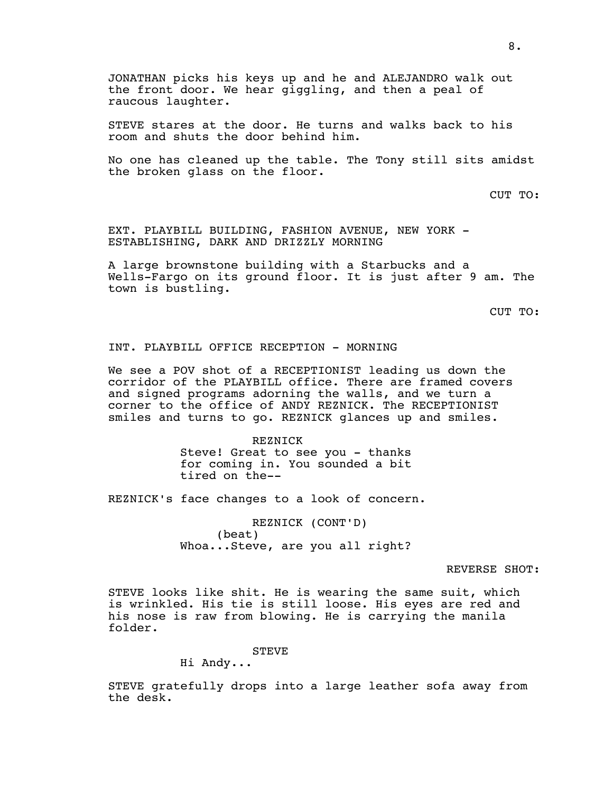STEVE stares at the door. He turns and walks back to his room and shuts the door behind him.

No one has cleaned up the table. The Tony still sits amidst the broken glass on the floor.

CUT TO:

EXT. PLAYBILL BUILDING, FASHION AVENUE, NEW YORK - ESTABLISHING, DARK AND DRIZZLY MORNING

A large brownstone building with a Starbucks and a Wells-Fargo on its ground floor. It is just after 9 am. The town is bustling.

CUT TO:

# INT. PLAYBILL OFFICE RECEPTION - MORNING

We see a POV shot of a RECEPTIONIST leading us down the corridor of the PLAYBILL office. There are framed covers and signed programs adorning the walls, and we turn a corner to the office of ANDY REZNICK. The RECEPTIONIST smiles and turns to go. REZNICK glances up and smiles.

> REZNICK Steve! Great to see you - thanks for coming in. You sounded a bit tired on the--

REZNICK's face changes to a look of concern.

REZNICK (CONT'D) (beat) Whoa...Steve, are you all right?

## REVERSE SHOT:

STEVE looks like shit. He is wearing the same suit, which is wrinkled. His tie is still loose. His eyes are red and his nose is raw from blowing. He is carrying the manila folder.

STEVE

Hi Andy...

STEVE gratefully drops into a large leather sofa away from the desk.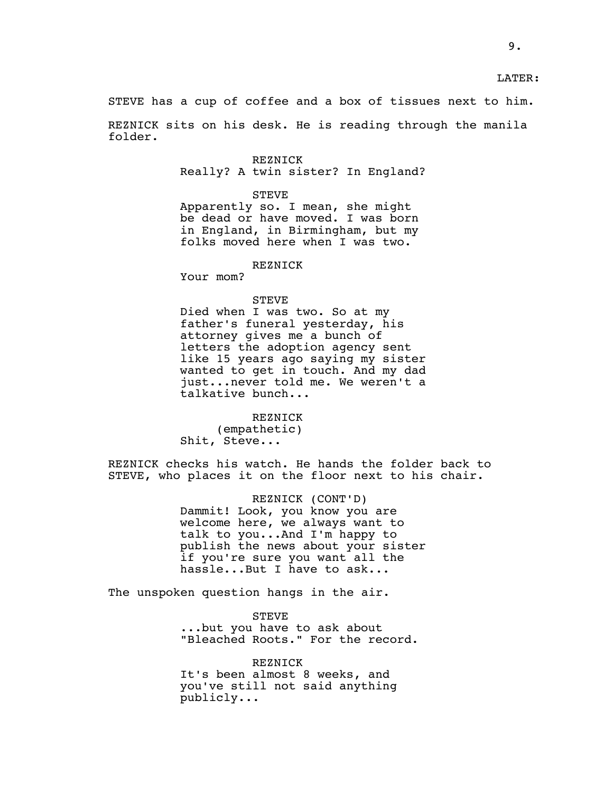STEVE has a cup of coffee and a box of tissues next to him.

REZNICK sits on his desk. He is reading through the manila folder.

> REZNICK Really? A twin sister? In England?

### STEVE

Apparently so. I mean, she might be dead or have moved. I was born in England, in Birmingham, but my folks moved here when I was two.

# REZNICK

Your mom?

### STEVE

Died when I was two. So at my father's funeral yesterday, his attorney gives me a bunch of letters the adoption agency sent like 15 years ago saying my sister wanted to get in touch. And my dad just...never told me. We weren't a talkative bunch...

REZNICK (empathetic) Shit, Steve...

REZNICK checks his watch. He hands the folder back to STEVE, who places it on the floor next to his chair.

> REZNICK (CONT'D) Dammit! Look, you know you are welcome here, we always want to talk to you...And I'm happy to publish the news about your sister if you're sure you want all the hassle...But I have to ask...

The unspoken question hangs in the air.

STEVE ...but you have to ask about "Bleached Roots." For the record.

REZNICK It's been almost 8 weeks, and you've still not said anything publicly...

LATER: